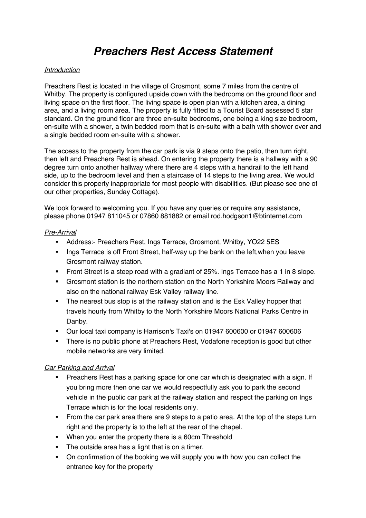# *Preachers Rest Access Statement*

#### *Introduction*

Preachers Rest is located in the village of Grosmont, some 7 miles from the centre of Whitby. The property is configured upside down with the bedrooms on the ground floor and living space on the first floor. The living space is open plan with a kitchen area, a dining area, and a living room area. The property is fully fitted to a Tourist Board assessed 5 star standard. On the ground floor are three en-suite bedrooms, one being a king size bedroom, en-suite with a shower, a twin bedded room that is en-suite with a bath with shower over and a single bedded room en-suite with a shower.

The access to the property from the car park is via 9 steps onto the patio, then turn right, then left and Preachers Rest is ahead. On entering the property there is a hallway with a 90 degree turn onto another hallway where there are 4 steps with a handrail to the left hand side, up to the bedroom level and then a staircase of 14 steps to the living area. We would consider this property inappropriate for most people with disabilities. (But please see one of our other properties, Sunday Cottage).

We look forward to welcoming you. If you have any queries or require any assistance, please phone 01947 811045 or 07860 881882 or email rod.hodgson1@btinternet.com

#### *Pre-Arrival*

- § Address:- Preachers Rest, Ings Terrace, Grosmont, Whitby, YO22 5ES
- Ings Terrace is off Front Street, half-way up the bank on the left, when you leave Grosmont railway station.
- Front Street is a steep road with a gradiant of 25%. Ings Terrace has a 1 in 8 slope.
- § Grosmont station is the northern station on the North Yorkshire Moors Railway and also on the national railway Esk Valley railway line.
- The nearest bus stop is at the railway station and is the Esk Valley hopper that travels hourly from Whitby to the North Yorkshire Moors National Parks Centre in Danby.
- § Our local taxi company is Harrison's Taxi's on 01947 600600 or 01947 600606
- There is no public phone at Preachers Rest, Vodafone reception is good but other mobile networks are very limited.

#### *Car Parking and Arrival*

- Preachers Rest has a parking space for one car which is designated with a sign. If you bring more then one car we would respectfully ask you to park the second vehicle in the public car park at the railway station and respect the parking on Ings Terrace which is for the local residents only.
- From the car park area there are 9 steps to a patio area. At the top of the steps turn right and the property is to the left at the rear of the chapel.
- When you enter the property there is a 60cm Threshold
- The outside area has a light that is on a timer.
- On confirmation of the booking we will supply you with how you can collect the entrance key for the property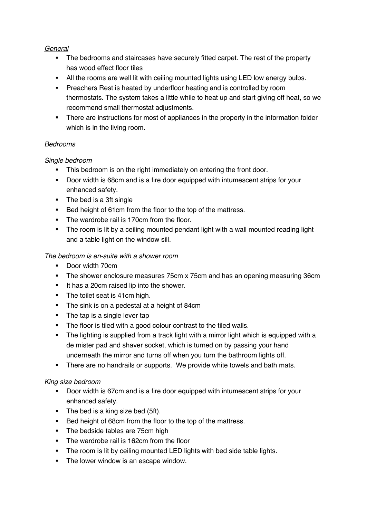## *General*

- The bedrooms and staircases have securely fitted carpet. The rest of the property has wood effect floor tiles
- All the rooms are well lit with ceiling mounted lights using LED low energy bulbs.
- **•** Preachers Rest is heated by underfloor heating and is controlled by room thermostats. The system takes a little while to heat up and start giving off heat, so we recommend small thermostat adjustments.
- There are instructions for most of appliances in the property in the information folder which is in the living room.

# *Bedrooms*

# *Single bedroom*

- This bedroom is on the right immediately on entering the front door.
- Door width is 68cm and is a fire door equipped with intumescent strips for your enhanced safety.
- The bed is a 3ft single
- Bed height of 61cm from the floor to the top of the mattress.
- The wardrobe rail is 170cm from the floor.
- The room is lit by a ceiling mounted pendant light with a wall mounted reading light and a table light on the window sill.

# *The bedroom is en-suite with a shower room*

- Door width 70cm
- The shower enclosure measures 75cm x 75cm and has an opening measuring 36cm
- **■** It has a 20cm raised lip into the shower.
- The toilet seat is 41cm high.
- The sink is on a pedestal at a height of 84cm
- The tap is a single lever tap
- The floor is tiled with a good colour contrast to the tiled walls.
- The lighting is supplied from a track light with a mirror light which is equipped with a de mister pad and shaver socket, which is turned on by passing your hand underneath the mirror and turns off when you turn the bathroom lights off.
- **•** There are no handrails or supports. We provide white towels and bath mats.

# *King size bedroom*

- Door width is 67cm and is a fire door equipped with intumescent strips for your enhanced safety.
- The bed is a king size bed (5ft).
- Bed height of 68cm from the floor to the top of the mattress.
- The bedside tables are 75cm high
- The wardrobe rail is 162cm from the floor
- The room is lit by ceiling mounted LED lights with bed side table lights.
- The lower window is an escape window.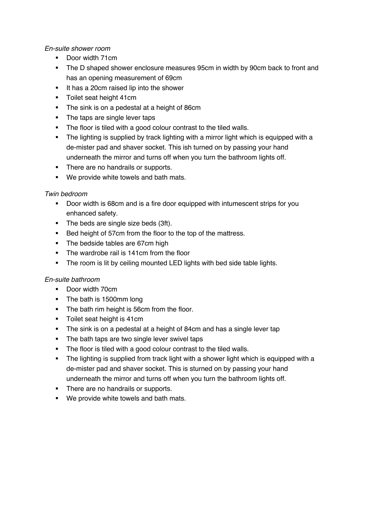#### *En-suite shower room*

- Door width 71cm
- The D shaped shower enclosure measures 95cm in width by 90cm back to front and has an opening measurement of 69cm
- It has a 20cm raised lip into the shower
- **•** Toilet seat height 41cm
- The sink is on a pedestal at a height of 86cm
- The taps are single lever taps
- The floor is tiled with a good colour contrast to the tiled walls.
- The lighting is supplied by track lighting with a mirror light which is equipped with a de-mister pad and shaver socket. This ish turned on by passing your hand underneath the mirror and turns off when you turn the bathroom lights off.
- There are no handrails or supports.
- We provide white towels and bath mats.

## *Twin bedroom*

- Door width is 68cm and is a fire door equipped with intumescent strips for you enhanced safety.
- The beds are single size beds (3ft).
- Bed height of 57cm from the floor to the top of the mattress.
- The bedside tables are 67cm high
- The wardrobe rail is 141cm from the floor
- **•** The room is lit by ceiling mounted LED lights with bed side table lights.

## *En-suite bathroom*

- Door width 70cm
- The bath is 1500mm long
- The bath rim height is 56cm from the floor.
- Toilet seat height is 41cm
- The sink is on a pedestal at a height of 84cm and has a single lever tap
- **•** The bath taps are two single lever swivel taps
- The floor is tiled with a good colour contrast to the tiled walls.
- The lighting is supplied from track light with a shower light which is equipped with a de-mister pad and shaver socket. This is sturned on by passing your hand underneath the mirror and turns off when you turn the bathroom lights off.
- There are no handrails or supports.
- We provide white towels and bath mats.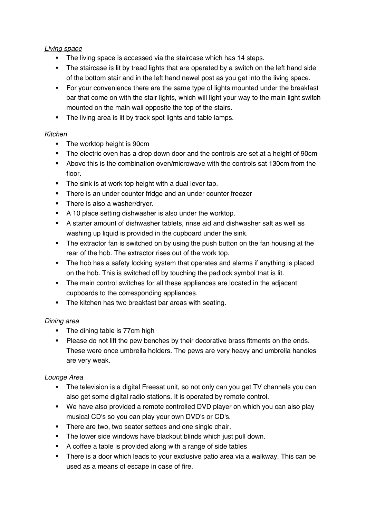## *Living space*

- The living space is accessed via the staircase which has 14 steps.
- The staircase is lit by tread lights that are operated by a switch on the left hand side of the bottom stair and in the left hand newel post as you get into the living space.
- For your convenience there are the same type of lights mounted under the breakfast bar that come on with the stair lights, which will light your way to the main light switch mounted on the main wall opposite the top of the stairs.
- The living area is lit by track spot lights and table lamps.

## *Kitchen*

- The worktop height is 90cm
- The electric oven has a drop down door and the controls are set at a height of 90cm
- § Above this is the combination oven/microwave with the controls sat 130cm from the floor.
- The sink is at work top height with a dual lever tap.
- There is an under counter fridge and an under counter freezer
- **•** There is also a washer/dryer.
- **•** A 10 place setting dishwasher is also under the worktop.
- § A starter amount of dishwasher tablets, rinse aid and dishwasher salt as well as washing up liquid is provided in the cupboard under the sink.
- The extractor fan is switched on by using the push button on the fan housing at the rear of the hob. The extractor rises out of the work top.
- The hob has a safety locking system that operates and alarms if anything is placed on the hob. This is switched off by touching the padlock symbol that is lit.
- The main control switches for all these appliances are located in the adjacent cupboards to the corresponding appliances.
- The kitchen has two breakfast bar areas with seating.

## *Dining area*

- The dining table is 77cm high
- § Please do not lift the pew benches by their decorative brass fitments on the ends. These were once umbrella holders. The pews are very heavy and umbrella handles are very weak.

## *Lounge Area*

- The television is a digital Freesat unit, so not only can you get TV channels you can also get some digital radio stations. It is operated by remote control.
- We have also provided a remote controlled DVD player on which you can also play musical CD's so you can play your own DVD's or CD's.
- There are two, two seater settees and one single chair.
- The lower side windows have blackout blinds which just pull down.
- A coffee a table is provided along with a range of side tables
- There is a door which leads to your exclusive patio area via a walkway. This can be used as a means of escape in case of fire.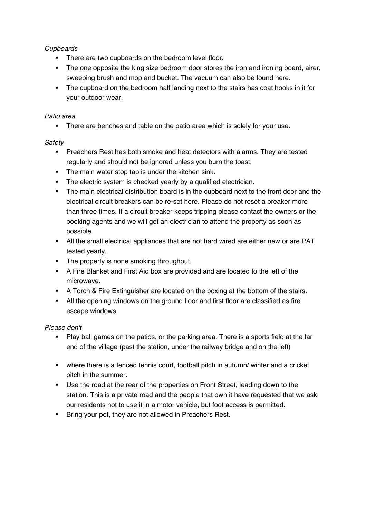## *Cupboards*

- There are two cupboards on the bedroom level floor.
- The one opposite the king size bedroom door stores the iron and ironing board, airer, sweeping brush and mop and bucket. The vacuum can also be found here.
- The cupboard on the bedroom half landing next to the stairs has coat hooks in it for your outdoor wear.

#### *Patio area*

• There are benches and table on the patio area which is solely for your use.

#### *Safety*

- **Preachers Rest has both smoke and heat detectors with alarms. They are tested** regularly and should not be ignored unless you burn the toast.
- The main water stop tap is under the kitchen sink.
- The electric system is checked yearly by a qualified electrician.
- The main electrical distribution board is in the cupboard next to the front door and the electrical circuit breakers can be re-set here. Please do not reset a breaker more than three times. If a circuit breaker keeps tripping please contact the owners or the booking agents and we will get an electrician to attend the property as soon as possible.
- All the small electrical appliances that are not hard wired are either new or are PAT tested yearly.
- The property is none smoking throughout.
- A Fire Blanket and First Aid box are provided and are located to the left of the microwave.
- **A Torch & Fire Extinguisher are located on the boxing at the bottom of the stairs.**
- All the opening windows on the ground floor and first floor are classified as fire escape windows.

## *Please don't*

- Play ball games on the patios, or the parking area. There is a sports field at the far end of the village (past the station, under the railway bridge and on the left)
- where there is a fenced tennis court, football pitch in autumn/ winter and a cricket pitch in the summer.
- Use the road at the rear of the properties on Front Street, leading down to the station. This is a private road and the people that own it have requested that we ask our residents not to use it in a motor vehicle, but foot access is permitted.
- **Bring your pet, they are not allowed in Preachers Rest.**